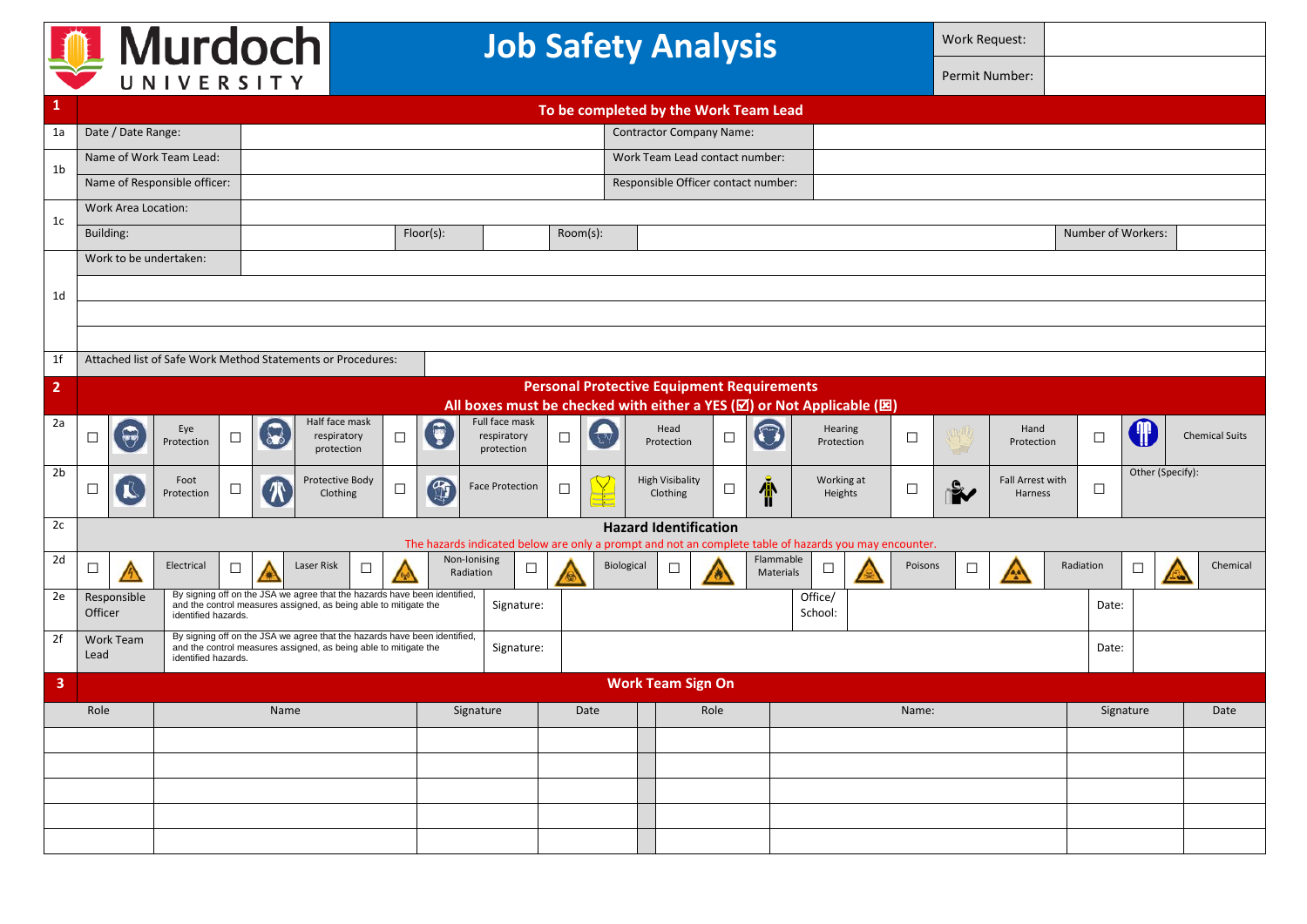| <b>Murdoch</b><br>UNIVERSITY |                                                             |                                                                                                                         |                                                                                                                                                                      |                                                                                                                                                                      |              |                           |        | <b>Job Safety Analysis</b>         |                                                                                           |                                                                                                                    |  |                  |                       |                                     |                              |                             |                | <b>Work Request:</b>  |                  |                    |               |                    |           |           |   |                       |          |
|------------------------------|-------------------------------------------------------------|-------------------------------------------------------------------------------------------------------------------------|----------------------------------------------------------------------------------------------------------------------------------------------------------------------|----------------------------------------------------------------------------------------------------------------------------------------------------------------------|--------------|---------------------------|--------|------------------------------------|-------------------------------------------------------------------------------------------|--------------------------------------------------------------------------------------------------------------------|--|------------------|-----------------------|-------------------------------------|------------------------------|-----------------------------|----------------|-----------------------|------------------|--------------------|---------------|--------------------|-----------|-----------|---|-----------------------|----------|
|                              |                                                             |                                                                                                                         |                                                                                                                                                                      |                                                                                                                                                                      |              |                           |        |                                    |                                                                                           |                                                                                                                    |  |                  |                       |                                     |                              |                             | Permit Number: |                       |                  |                    |               |                    |           |           |   |                       |          |
|                              | To be completed by the Work Team Lead                       |                                                                                                                         |                                                                                                                                                                      |                                                                                                                                                                      |              |                           |        |                                    |                                                                                           |                                                                                                                    |  |                  |                       |                                     |                              |                             |                |                       |                  |                    |               |                    |           |           |   |                       |          |
| 1a                           |                                                             | Date / Date Range:                                                                                                      | <b>Contractor Company Name:</b>                                                                                                                                      |                                                                                                                                                                      |              |                           |        |                                    |                                                                                           |                                                                                                                    |  |                  |                       |                                     |                              |                             |                |                       |                  |                    |               |                    |           |           |   |                       |          |
|                              | Name of Work Team Lead:                                     |                                                                                                                         |                                                                                                                                                                      |                                                                                                                                                                      |              |                           |        |                                    | Work Team Lead contact number:                                                            |                                                                                                                    |  |                  |                       |                                     |                              |                             |                |                       |                  |                    |               |                    |           |           |   |                       |          |
| 1b                           |                                                             |                                                                                                                         | Name of Responsible officer:                                                                                                                                         |                                                                                                                                                                      |              |                           |        |                                    |                                                                                           |                                                                                                                    |  |                  |                       | Responsible Officer contact number: |                              |                             |                |                       |                  |                    |               |                    |           |           |   |                       |          |
| Work Area Location:<br>1c    |                                                             |                                                                                                                         |                                                                                                                                                                      |                                                                                                                                                                      |              |                           |        |                                    |                                                                                           |                                                                                                                    |  |                  |                       |                                     |                              |                             |                |                       |                  |                    |               |                    |           |           |   |                       |          |
|                              | Building:                                                   |                                                                                                                         |                                                                                                                                                                      |                                                                                                                                                                      |              |                           |        | Floor(s):<br>$Room(s)$ :           |                                                                                           |                                                                                                                    |  |                  |                       |                                     |                              |                             |                |                       |                  | Number of Workers: |               |                    |           |           |   |                       |          |
|                              | Work to be undertaken:                                      |                                                                                                                         |                                                                                                                                                                      |                                                                                                                                                                      |              |                           |        |                                    |                                                                                           |                                                                                                                    |  |                  |                       |                                     |                              |                             |                |                       |                  |                    |               |                    |           |           |   |                       |          |
| 1d                           |                                                             |                                                                                                                         |                                                                                                                                                                      |                                                                                                                                                                      |              |                           |        |                                    |                                                                                           |                                                                                                                    |  |                  |                       |                                     |                              |                             |                |                       |                  |                    |               |                    |           |           |   |                       |          |
|                              |                                                             |                                                                                                                         |                                                                                                                                                                      |                                                                                                                                                                      |              |                           |        |                                    |                                                                                           |                                                                                                                    |  |                  |                       |                                     |                              |                             |                |                       |                  |                    |               |                    |           |           |   |                       |          |
|                              |                                                             |                                                                                                                         |                                                                                                                                                                      |                                                                                                                                                                      |              |                           |        |                                    |                                                                                           |                                                                                                                    |  |                  |                       |                                     |                              |                             |                |                       |                  |                    |               |                    |           |           |   |                       |          |
| 1f                           | Attached list of Safe Work Method Statements or Procedures: |                                                                                                                         |                                                                                                                                                                      |                                                                                                                                                                      |              |                           |        |                                    |                                                                                           |                                                                                                                    |  |                  |                       |                                     |                              |                             |                |                       |                  |                    |               |                    |           |           |   |                       |          |
| $\overline{2}$               | <b>Personal Protective Equipment Requirements</b>           |                                                                                                                         |                                                                                                                                                                      |                                                                                                                                                                      |              |                           |        |                                    |                                                                                           |                                                                                                                    |  |                  |                       |                                     |                              |                             |                |                       |                  |                    |               |                    |           |           |   |                       |          |
| 2a                           | Half face mask<br>Full face mask                            |                                                                                                                         |                                                                                                                                                                      |                                                                                                                                                                      |              |                           |        |                                    | All boxes must be checked with either a YES $(\boxtimes)$ or Not Applicable $(\boxtimes)$ |                                                                                                                    |  |                  |                       |                                     |                              |                             |                |                       |                  |                    |               |                    |           |           |   |                       |          |
|                              | $\Box$                                                      | $\widetilde{\mathbb{F}}$                                                                                                | Eye<br>Protection                                                                                                                                                    | $\Box$                                                                                                                                                               |              | respiratory<br>protection | $\Box$ |                                    |                                                                                           | respiratory<br>$\Box$<br>protection                                                                                |  | $\zeta$ ? $\phi$ | Head<br>Protection    |                                     | □                            |                             | 0              | Hearing<br>Protection |                  | $\Box$             | $\rightarrow$ | Hand<br>Protection |           | $\Box$    |   | <b>Chemical Suits</b> |          |
| 2 <sub>b</sub>               | $\Box$                                                      | Protective Body<br>Foot<br>$\mathbb{F}$<br>R<br><b>Face Protection</b><br>⊔<br>⊔<br><b>TX</b><br>Protection<br>Clothing |                                                                                                                                                                      |                                                                                                                                                                      | $\Box$<br>d  |                           |        | <b>High Visibality</b><br>Clothing | Æ<br>L                                                                                    |                                                                                                                    |  |                  | Working at<br>Heights |                                     |                              | Fall Arrest with<br>Harness |                | $\Box$                | Other (Specify): |                    |               |                    |           |           |   |                       |          |
| 2c                           |                                                             |                                                                                                                         |                                                                                                                                                                      |                                                                                                                                                                      |              |                           |        |                                    |                                                                                           |                                                                                                                    |  |                  |                       |                                     | <b>Hazard Identification</b> |                             |                |                       |                  |                    |               |                    |           |           |   |                       |          |
| 2d                           |                                                             |                                                                                                                         |                                                                                                                                                                      |                                                                                                                                                                      | Non-Ionising |                           |        |                                    |                                                                                           | The hazards indicated below are only a prompt and not an complete table of hazards you may encounter.<br>Flammable |  |                  |                       |                                     |                              |                             |                |                       |                  |                    |               |                    |           |           |   |                       |          |
|                              | $\Box$                                                      |                                                                                                                         | Electrical                                                                                                                                                           | $\Box$                                                                                                                                                               |              | Laser Risk<br>$\Box$      |        |                                    | Radiation                                                                                 | ப                                                                                                                  |  |                  | Biological            | $\Box$                              |                              |                             | Materials      | $\Box$                |                  | Poisons            | $\Box$        |                    |           | Radiation | ⊔ |                       | Chemical |
| 2e                           | Officer                                                     | Responsible                                                                                                             | By signing off on the JSA we agree that the hazards have been identified,<br>and the control measures assigned, as being able to mitigate the<br>identified hazards. |                                                                                                                                                                      |              |                           |        | Signature:                         |                                                                                           |                                                                                                                    |  |                  |                       |                                     |                              |                             |                | Office/<br>School:    | Date:            |                    |               |                    |           |           |   |                       |          |
| 2f                           | Work Team<br>Lead                                           |                                                                                                                         |                                                                                                                                                                      | By signing off on the JSA we agree that the hazards have been identified,<br>and the control measures assigned, as being able to mitigate the<br>identified hazards. |              |                           |        |                                    |                                                                                           | Signature:                                                                                                         |  |                  |                       |                                     |                              |                             |                |                       |                  |                    |               |                    |           | Date:     |   |                       |          |
| 3                            |                                                             |                                                                                                                         |                                                                                                                                                                      |                                                                                                                                                                      |              |                           |        |                                    |                                                                                           |                                                                                                                    |  |                  |                       |                                     | <b>Work Team Sign On</b>     |                             |                |                       |                  |                    |               |                    |           |           |   |                       |          |
|                              | Role                                                        |                                                                                                                         | Name                                                                                                                                                                 |                                                                                                                                                                      |              |                           |        | Signature                          |                                                                                           |                                                                                                                    |  | Date<br>Role     |                       |                                     |                              |                             |                | Name:                 |                  |                    |               |                    | Signature |           |   | Date                  |          |
|                              |                                                             |                                                                                                                         |                                                                                                                                                                      |                                                                                                                                                                      |              |                           |        |                                    |                                                                                           |                                                                                                                    |  |                  |                       |                                     |                              |                             |                |                       |                  |                    |               |                    |           |           |   |                       |          |
|                              |                                                             |                                                                                                                         |                                                                                                                                                                      |                                                                                                                                                                      |              |                           |        |                                    |                                                                                           |                                                                                                                    |  |                  |                       |                                     |                              |                             |                |                       |                  |                    |               |                    |           |           |   |                       |          |
|                              |                                                             |                                                                                                                         |                                                                                                                                                                      |                                                                                                                                                                      |              |                           |        |                                    |                                                                                           |                                                                                                                    |  |                  |                       |                                     |                              |                             |                |                       |                  |                    |               |                    |           |           |   |                       |          |
|                              |                                                             |                                                                                                                         |                                                                                                                                                                      |                                                                                                                                                                      |              |                           |        |                                    |                                                                                           |                                                                                                                    |  |                  |                       |                                     |                              |                             |                |                       |                  |                    |               |                    |           |           |   |                       |          |
|                              |                                                             |                                                                                                                         |                                                                                                                                                                      |                                                                                                                                                                      |              |                           |        |                                    |                                                                                           |                                                                                                                    |  |                  |                       |                                     |                              |                             |                |                       |                  |                    |               |                    |           |           |   |                       |          |